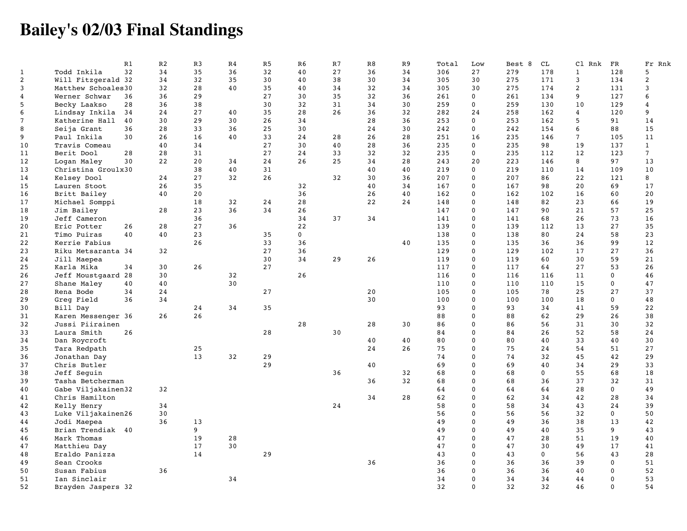## **Bailey's 02/03 Final Standings**

|                |                    | R1 | R <sub>2</sub> | R <sub>3</sub> | R <sub>4</sub> | R <sub>5</sub> | R <sub>6</sub> | R7 | R8 | R <sub>9</sub> | Total | Low            | Best 8 | CL          | Cl Rnk          | FR           | Fr Rnk         |
|----------------|--------------------|----|----------------|----------------|----------------|----------------|----------------|----|----|----------------|-------|----------------|--------|-------------|-----------------|--------------|----------------|
| $\mathbf{1}$   | Todd Inkila        | 32 | 34             | 35             | 36             | 32             | 40             | 27 | 36 | 34             | 306   | 27             | 279    | 178         | $\mathbf{1}$    | 128          | 5              |
| $\overline{a}$ | Will Fitzgerald 32 |    | 34             | 32             | 35             | 30             | 40             | 38 | 30 | 34             | 305   | 30             | 275    | 171         | 3               | 134          | $\overline{2}$ |
| 3              | Matthew Schoales30 |    | 32             | 28             | 40             | 35             | 40             | 34 | 32 | 34             | 305   | 30             | 275    | 174         | 2               | 131          | 3              |
| 4              | Werner Schwar      | 36 | 36             | 29             |                | 27             | 30             | 35 | 32 | 36             | 261   | 0              | 261    | 134         | 9               | 127          | 6              |
| 5              | Becky Laakso       | 28 | 36             | 38             |                | 30             | 32             | 31 | 34 | 30             | 259   | $\mathbf{0}$   | 259    | 130         | 10              | 129          | 4              |
| 6              | Lindsay Inkila     | 34 | 24             | 27             | 40             | 35             | 28             | 26 | 36 | 32             | 282   | 24             | 258    | 162         | $\overline{4}$  | 120          | 9              |
| $\overline{7}$ | Katherine Hall     | 40 | 30             | 29             | 30             | 26             | 34             |    | 28 | 36             | 253   | $\overline{0}$ | 253    | 162         | 5               | 91           | 14             |
| 8              | Seija Grant        | 36 | 28             | 33             | 36             | 25             | 30             |    | 24 | 30             | 242   | 0              | 242    | 154         | 6               | 88           | 15             |
| 9              | Paul Inkila        | 30 | 26             | 16             | 40             | 33             | 24             | 28 | 26 | 28             | 251   | 16             | 235    | 146         | $7\phantom{.0}$ | 105          | 11             |
| 10             | Travis Comeau      |    | 40             | 34             |                | 27             | 30             | 40 | 28 | 36             | 235   | 0              | 235    | 98          | 19              | 137          | $\mathbf{1}$   |
| 11             | Berit Dool         | 28 | 28             | 31             |                | 27             | 24             | 33 | 32 | 32             | 235   | 0              | 235    | 112         | 12              | 123          | $\overline{7}$ |
| 12             | Logan Maley        | 30 | 22             | 20             | 34             | 24             | 26             | 25 | 34 | 28             | 243   | 20             | 223    | 146         | 8               | 97           | 13             |
|                |                    |    |                |                |                |                |                |    |    |                | 219   | $\overline{0}$ |        |             |                 |              | 10             |
| 13             | Christina Groulx30 |    |                | 38             | 40             | 31             |                |    | 40 | 40             |       |                | 219    | 110         | 14              | 109          |                |
| 14             | Kelsey Dool        |    | 24             | 27             | 32             | 26             |                | 32 | 30 | 36             | 207   | 0              | 207    | 86          | 22              | 121          | 8              |
| 15             | Lauren Stoot       |    | 26             | 35             |                |                | 32             |    | 40 | 34             | 167   | 0              | 167    | 98          | 20              | 69           | 17             |
| 16             | Britt Bailey       |    | 40             | 20             |                |                | 36             |    | 26 | 40             | 162   | 0              | 162    | 102         | 16              | 60           | 20             |
| 17             | Michael Somppi     |    |                | 18             | 32             | 24             | 28             |    | 22 | 24             | 148   | 0              | 148    | 82          | 23              | 66           | 19             |
| 18             | Jim Bailey         |    | 28             | 23             | 36             | 34             | 26             |    |    |                | 147   | $\Omega$       | 147    | 90          | 21              | 57           | 25             |
| 19             | Jeff Cameron       |    |                | 36             |                |                | 34             | 37 | 34 |                | 141   | $\Omega$       | 141    | 68          | 26              | 73           | 16             |
| 20             | Eric Potter        | 26 | 28             | 27             | 36             |                | 22             |    |    |                | 139   | $\mathbf{0}$   | 139    | 112         | 13              | 27           | 35             |
| 21             | Timo Puiras        | 40 | 40             | 23             |                | 35             | $\mathbf 0$    |    |    |                | 138   | $\Omega$       | 138    | 80          | 24              | 58           | 23             |
| 22             | Kerrie Fabius      |    |                | 26             |                | 33             | 36             |    |    | 40             | 135   | 0              | 135    | 36          | 36              | 99           | 12             |
| 23             | Riku Metsaranta 34 |    | 32             |                |                | 27             | 36             |    |    |                | 129   | $\Omega$       | 129    | 102         | 17              | 27           | 36             |
| 24             | Jill Maepea        |    |                |                |                | 30             | 34             | 29 | 26 |                | 119   | $\Omega$       | 119    | 60          | 30              | 59           | 21             |
| 25             | Karla Mika         | 34 | 30             | 26             |                | 27             |                |    |    |                | 117   | 0              | 117    | 64          | 27              | 53           | 26             |
| 26             | Jeff Moustgaard 28 |    | 30             |                | 32             |                | 26             |    |    |                | 116   | 0              | 116    | 116         | 11              | $\mathbf 0$  | 46             |
| 27             | Shane Maley        | 40 | 40             |                | 30             |                |                |    |    |                | 110   | $\Omega$       | 110    | 110         | 15              | $\mathbf{0}$ | 47             |
| 28             | Rena Bode          | 34 | 24             |                |                | 27             |                |    | 20 |                | 105   | $\mathbf{0}$   | 105    | 78          | 25              | 27           | 37             |
| 29             | Greg Field         | 36 | 34             |                |                |                |                |    | 30 |                | 100   | $\Omega$       | 100    | 100         | 18              | $\mathbf{0}$ | 48             |
| 30             | Bill Day           |    |                | 24             | 34             | 35             |                |    |    |                | 93    | $\mathbf{0}$   | 93     | 34          | 41              | 59           | 22             |
| 31             | Karen Messenger 36 |    | 26             | 26             |                |                |                |    |    |                | 88    | $\Omega$       | 88     | 62          | 29              | 26           | 38             |
| 32             | Jussi Piirainen    |    |                |                |                |                | 28             |    | 28 | 30             | 86    | $\mathbf{0}$   | 86     | 56          | 31              | 30           | 32             |
| 33             | Laura Smith        | 26 |                |                |                | 28             |                | 30 |    |                | 84    | $\Omega$       | 84     | 26          | 52              | 58           | 24             |
| 34             | Dan Roycroft       |    |                |                |                |                |                |    | 40 | 40             | 80    | $\Omega$       | 80     | 40          | 33              | 40           | 30             |
| 35             | Tara Redpath       |    |                | 25             |                |                |                |    | 24 | 26             | 75    | $\Omega$       | 75     | 24          | 54              | 51           | 27             |
| 36             | Jonathan Day       |    |                | 13             | 32             | 29             |                |    |    |                | 74    | 0              | 74     | 32          | 45              | 42           | 29             |
| 37             | Chris Butler       |    |                |                |                | 29             |                |    | 40 |                | 69    | $\Omega$       | 69     | 40          | 34              | 29           | 33             |
| 38             |                    |    |                |                |                |                |                | 36 |    | 32             | 68    | $\mathbf{0}$   | 68     | $\mathbf 0$ | 55              | 68           | 18             |
|                | Jeff Seguin        |    |                |                |                |                |                |    |    | 32             | 68    | $\Omega$       | 68     | 36          | 37              | 32           | 31             |
| 39             | Tasha Betcherman   |    |                |                |                |                |                |    | 36 |                |       | $\Omega$       |        |             |                 | $\mathbf{0}$ |                |
| 40             | Gabe Viljakainen32 |    | 32             |                |                |                |                |    |    |                | 64    |                | 64     | 64          | 28              |              | 49             |
| 41             | Chris Hamilton     |    |                |                |                |                |                |    | 34 | 28             | 62    | $\Omega$       | 62     | 34          | 42              | 28           | 34             |
| 42             | Kelly Henry        |    | 34             |                |                |                |                | 24 |    |                | 58    | 0              | 58     | 34          | 43              | 24           | 39             |
| 43             | Luke Viljakainen26 |    | 30             |                |                |                |                |    |    |                | 56    | $\Omega$       | 56     | 56          | 32              | $\mathbf 0$  | 50             |
| 44             | Jodi Maepea        |    | 36             | 13             |                |                |                |    |    |                | 49    | $\Omega$       | 49     | 36          | 38              | 13           | 42             |
| 45             | Brian Trendiak 40  |    |                | 9              |                |                |                |    |    |                | 49    | $\mathbf{0}$   | 49     | 40          | 35              | 9            | 43             |
| 46             | Mark Thomas        |    |                | 19             | 28             |                |                |    |    |                | 47    | $\Omega$       | 47     | 28          | 51              | 19           | 40             |
| 47             | Matthieu Day       |    |                | 17             | 30             |                |                |    |    |                | 47    | $\Omega$       | 47     | 30          | 49              | 17           | 41             |
| 48             | Eraldo Panizza     |    |                | 14             |                | 29             |                |    |    |                | 43    | $\Omega$       | 43     | $\mathbf 0$ | 56              | 43           | 28             |
| 49             | Sean Crooks        |    |                |                |                |                |                |    | 36 |                | 36    | $\Omega$       | 36     | 36          | 39              | $\mathbf{0}$ | 51             |
| 50             | Susan Fabius       |    | 36             |                |                |                |                |    |    |                | 36    | $\mathbf{0}$   | 36     | 36          | 40              | $\mathbf{0}$ | 52             |
| 51             | Ian Sinclair       |    |                |                | 34             |                |                |    |    |                | 34    | $\Omega$       | 34     | 34          | 44              | $\mathbf{0}$ | 53             |
| 52             | Brayden Jaspers 32 |    |                |                |                |                |                |    |    |                | 32    | $\mathbf{0}$   | 32     | 32          | 46              | $\mathbf{0}$ | 54             |
|                |                    |    |                |                |                |                |                |    |    |                |       |                |        |             |                 |              |                |